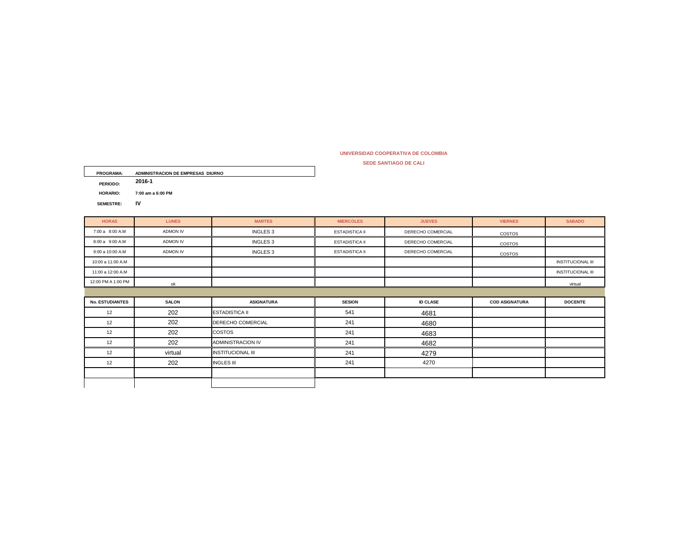## **SEDE SANTIAGO DE CALI UNIVERSIDAD COOPERATIVA DE COLOMBIA**

| <b>PROGRAMA:</b> | ADMINISTRACION DE EMPRESAS DIURNO |
|------------------|-----------------------------------|
| PERIODO:         | 2016-1                            |
| HORARIO:         | 7:00 am a 6:00 PM                 |
| SEMESTRE:        | IV                                |

| <b>HORAS</b>           | <b>LUNES</b>    | <b>MARTES</b>            | <b>MIERCOLES</b>      | <b>JUEVES</b>     | <b>VIERNES</b>        | <b>SABADO</b>            |
|------------------------|-----------------|--------------------------|-----------------------|-------------------|-----------------------|--------------------------|
| 7:00 a 8:00 A.M        | <b>ADMON IV</b> | INGLES <sub>3</sub>      | <b>ESTADISTICA II</b> | DERECHO COMERCIAL | COSTOS                |                          |
| 8:00 a 9:00 A.M        | ADMON IV        | INGLES <sub>3</sub>      | <b>ESTADISTICA II</b> | DERECHO COMERCIAL | COSTOS                |                          |
| 9:00 a 10:00 A.M       | ADMON IV        | INGLES <sub>3</sub>      | <b>ESTADISTICA II</b> | DERECHO COMERCIAL | COSTOS                |                          |
| 10:00 a 11:00 A.M      |                 |                          |                       |                   |                       | <b>INSTITUCIONAL III</b> |
| 11:00 a 12:00 A.M      |                 |                          |                       |                   |                       | <b>INSTITUCIONAL III</b> |
| 12:00 PM A 1:00 PM     | ok              |                          |                       |                   |                       | virtual                  |
|                        |                 |                          |                       |                   |                       |                          |
| <b>No. ESTUDIANTES</b> | <b>SALON</b>    | <b>ASIGNATURA</b>        | <b>SESION</b>         | <b>ID CLASE</b>   | <b>COD ASIGNATURA</b> | <b>DOCENTE</b>           |
| 12                     | 202             | <b>ESTADISTICA II</b>    | 541                   | 4681              |                       |                          |
| 12                     | 202             | <b>DERECHO COMERCIAL</b> | 241                   | 4680              |                       |                          |
| 12                     | 202             | COSTOS                   | 241                   | 4683              |                       |                          |
| 12                     | 202             | <b>ADMINISTRACION IV</b> | 241                   | 4682              |                       |                          |
| 12                     | virtual         | <b>INSTITUCIONAL III</b> | 241                   | 4279              |                       |                          |
| 12                     | 202             | <b>INGLES III</b>        | 241                   | 4270              |                       |                          |
|                        |                 |                          |                       |                   |                       |                          |
|                        |                 |                          |                       |                   |                       |                          |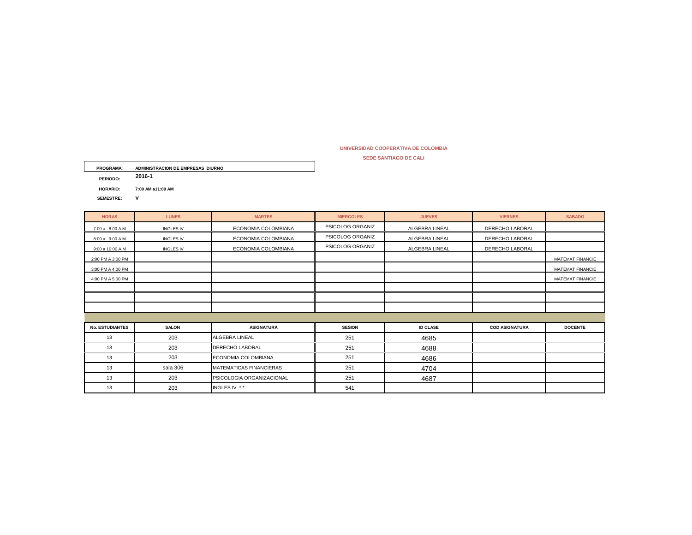## **SEDE SANTIAGO DE CALI UNIVERSIDAD COOPERATIVA DE COLOMBIA**

| <b>PROGRAMA:</b> | ADMINISTRACION DE EMPRESAS DIURNO |
|------------------|-----------------------------------|
| PERIODO:         | 2016-1                            |
| <b>HORARIO:</b>  | 7:00 AM a11:00 AM                 |
| <b>SEMESTRE:</b> | v                                 |

| <b>HORAS</b>           | <b>LUNES</b>     | <b>MARTES</b>                  | <b>MIERCOLES</b> | <b>JUEVES</b>   | <b>VIERNES</b>        | <b>SABADO</b>    |
|------------------------|------------------|--------------------------------|------------------|-----------------|-----------------------|------------------|
| 7:00 a 8:00 A.M        | <b>INGLES IV</b> | ECONOMIA COLOMBIANA            | PSICOLOG ORGANIZ | ALGEBRA LINEAL  | DERECHO LABORAL       |                  |
| 8:00 a 9:00 A.M        | <b>INGLES IV</b> | ECONOMIA COLOMBIANA            | PSICOLOG ORGANIZ | ALGEBRA LINEAL  | DERECHO LABORAL       |                  |
| 9:00 a 10:00 A.M       | <b>INGLES IV</b> | ECONOMIA COLOMBIANA            | PSICOLOG ORGANIZ | ALGEBRA LINEAL  | DERECHO LABORAL       |                  |
| 2:00 PM A 3:00 PM      |                  |                                |                  |                 |                       | MATEMAT FINANCIE |
| 3:00 PM A 4:00 PM      |                  |                                |                  |                 |                       | MATEMAT FINANCIE |
| 4:00 PM A 5:00 PM      |                  |                                |                  |                 |                       | MATEMAT FINANCIE |
|                        |                  |                                |                  |                 |                       |                  |
|                        |                  |                                |                  |                 |                       |                  |
|                        |                  |                                |                  |                 |                       |                  |
|                        |                  |                                |                  |                 |                       |                  |
| <b>No. ESTUDIANTES</b> | <b>SALON</b>     | <b>ASIGNATURA</b>              | <b>SESION</b>    | <b>ID CLASE</b> | <b>COD ASIGNATURA</b> | <b>DOCENTE</b>   |
| 13                     | 203              | <b>ALGEBRA LINEAL</b>          | 251              | 4685            |                       |                  |
| 13                     | 203              | <b>DERECHO LABORAL</b>         | 251              | 4688            |                       |                  |
| 13                     | 203              | ECONOMIA COLOMBIANA            | 251              | 4686            |                       |                  |
| 13                     | sala 306         | <b>MATEMATICAS FINANCIERAS</b> | 251              | 4704            |                       |                  |
| 13                     | 203              | PSICOLOGIA ORGANIZACIONAL      | 251              | 4687            |                       |                  |
| 13                     | 203              | INGLES IV **                   | 541              |                 |                       |                  |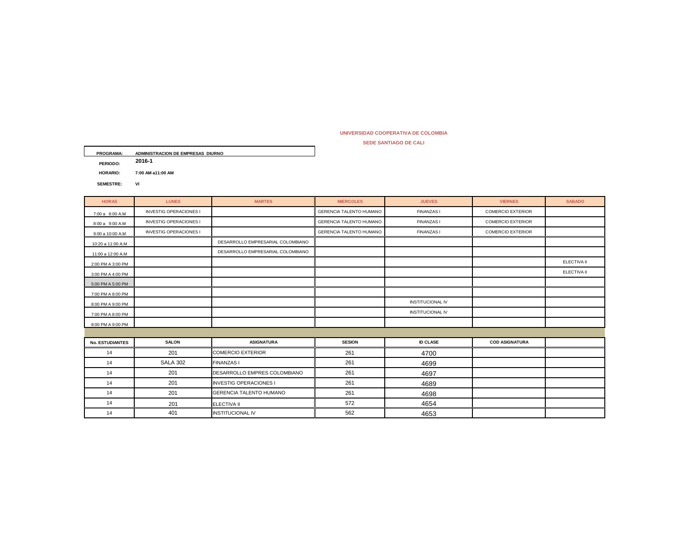## **UNIVERSIDAD COOPERATIVA DE COLOMBIA**

**SEDE SANTIAGO DE CALI**

| <b>PROGRAMA:</b> | ADMINISTRACION DE EMPRESAS DIURNO |
|------------------|-----------------------------------|
| PERIODO:         | 2016-1                            |
| HORARIO:         | 7:00 AM a11:00 AM                 |
| <b>SEMESTRE:</b> | VI                                |

| <b>HORAS</b>           | <b>LUNES</b>                  | <b>MARTES</b>                     | <b>MIERCOLES</b>               | <b>JUEVES</b>           | <b>VIERNES</b>           | <b>SABADO</b> |
|------------------------|-------------------------------|-----------------------------------|--------------------------------|-------------------------|--------------------------|---------------|
| 7:00 a 8:00 A.M        | <b>INVESTIG OPERACIONES I</b> |                                   | GERENCIA TALENTO HUMANO        | <b>FINANZAS1</b>        | <b>COMERCIO EXTERIOR</b> |               |
| 8:00 a 9:00 A.M        | <b>INVESTIG OPERACIONES I</b> |                                   | <b>GERENCIA TALENTO HUMANO</b> | <b>FINANZAS1</b>        | <b>COMERCIO EXTERIOR</b> |               |
| 9:00 a 10:00 A.M       | <b>INVESTIG OPERACIONES I</b> |                                   | <b>GERENCIA TALENTO HUMANO</b> | <b>FINANZAS1</b>        | <b>COMERCIO EXTERIOR</b> |               |
| 10:20 a 11:00 A.M      |                               | DESARROLLO EMPRESARIAL COLOMBIANO |                                |                         |                          |               |
| 11:00 a 12:00 A.M      |                               | DESARROLLO EMPRESARIAL COLOMBIANO |                                |                         |                          |               |
| 2:00 PM A 3:00 PM      |                               |                                   |                                |                         |                          | ELECTIVA II   |
| 3:00 PM A 4:00 PM      |                               |                                   |                                |                         |                          | ELECTIVA II   |
| 5:00 PM A 5:00 PM      |                               |                                   |                                |                         |                          |               |
| 7:00 PM A 8:00 PM      |                               |                                   |                                |                         |                          |               |
| 8:00 PM A 9:00 PM      |                               |                                   |                                | <b>INSTITUCIONAL IV</b> |                          |               |
| 7:00 PM A 8:00 PM      |                               |                                   |                                | <b>INSTITUCIONAL IV</b> |                          |               |
| 8:00 PM A 9:00 PM      |                               |                                   |                                |                         |                          |               |
|                        |                               |                                   |                                |                         |                          |               |
| <b>No. ESTUDIANTES</b> | <b>SALON</b>                  | <b>ASIGNATURA</b>                 | <b>SESION</b>                  | <b>ID CLASE</b>         | <b>COD ASIGNATURA</b>    |               |
| 14                     | 201                           | COMERCIO EXTERIOR                 | 261                            | 4700                    |                          |               |
| 14                     | <b>SALA 302</b>               | <b>FINANZAS I</b>                 | 261                            | 4699                    |                          |               |
| 14                     | 201                           | DESARROLLO EMPRES COLOMBIANO      | 261                            | 4697                    |                          |               |
| 14                     | 201                           | <b>INVESTIG OPERACIONES I</b>     | 261                            | 4689                    |                          |               |
| 14                     | 201                           | GERENCIA TALENTO HUMANO           | 261                            | 4698                    |                          |               |
| 14                     | 201                           | <b>ELECTIVA II</b>                | 572                            | 4654                    |                          |               |
| 14                     | 401                           | <b>INSTITUCIONAL IV</b>           | 562                            | 4653                    |                          |               |